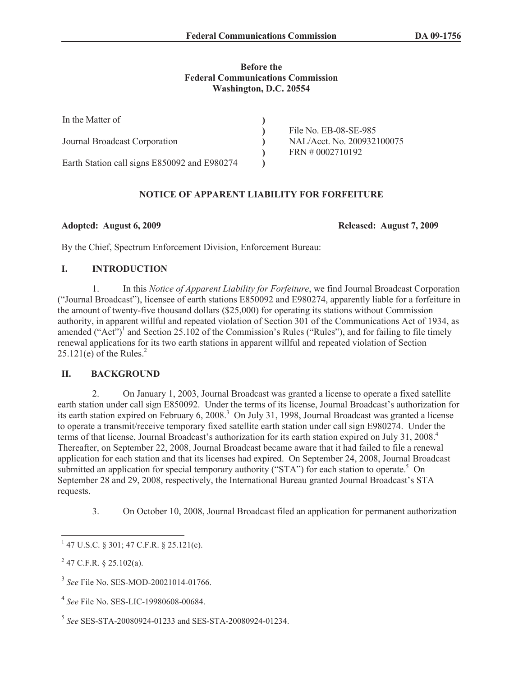### **Before the Federal Communications Commission Washington, D.C. 20554**

| In the Matter of                             |                            |
|----------------------------------------------|----------------------------|
|                                              | File No. EB-08-SE-985      |
| Journal Broadcast Corporation                | NAL/Acct. No. 200932100075 |
|                                              | $FRN \neq 0002710192$      |
| Earth Station call signs E850092 and E980274 |                            |

## **NOTICE OF APPARENT LIABILITY FOR FORFEITURE**

**Adopted: August 6, 2009 Released: August 7, 2009** 

By the Chief, Spectrum Enforcement Division, Enforcement Bureau:

## **I. INTRODUCTION**

1. In this *Notice of Apparent Liability for Forfeiture*, we find Journal Broadcast Corporation ("Journal Broadcast"), licensee of earth stations E850092 and E980274, apparently liable for a forfeiture in the amount of twenty-five thousand dollars (\$25,000) for operating its stations without Commission authority, in apparent willful and repeated violation of Section 301 of the Communications Act of 1934, as amended  $("Act")^1$  and Section 25.102 of the Commission's Rules ("Rules"), and for failing to file timely renewal applications for its two earth stations in apparent willful and repeated violation of Section  $25.121(e)$  of the Rules.<sup>2</sup>

## **II. BACKGROUND**

2. On January 1, 2003, Journal Broadcast was granted a license to operate a fixed satellite earth station under call sign E850092. Under the terms of its license, Journal Broadcast's authorization for its earth station expired on February 6, 2008.<sup>3</sup> On July 31, 1998, Journal Broadcast was granted a license to operate a transmit/receive temporary fixed satellite earth station under call sign E980274. Under the terms of that license, Journal Broadcast's authorization for its earth station expired on July 31, 2008.<sup>4</sup> Thereafter, on September 22, 2008, Journal Broadcast became aware that it had failed to file a renewal application for each station and that its licenses had expired. On September 24, 2008, Journal Broadcast submitted an application for special temporary authority ("STA") for each station to operate.<sup>5</sup> On September 28 and 29, 2008, respectively, the International Bureau granted Journal Broadcast's STA requests.

3. On October 10, 2008, Journal Broadcast filed an application for permanent authorization

 $147$  U.S.C. § 301; 47 C.F.R. § 25.121(e).

 $^{2}$  47 C.F.R. § 25.102(a).

<sup>3</sup> *See* File No. SES-MOD-20021014-01766.

<sup>4</sup> *See* File No. SES-LIC-19980608-00684.

<sup>5</sup> *See* SES-STA-20080924-01233 and SES-STA-20080924-01234.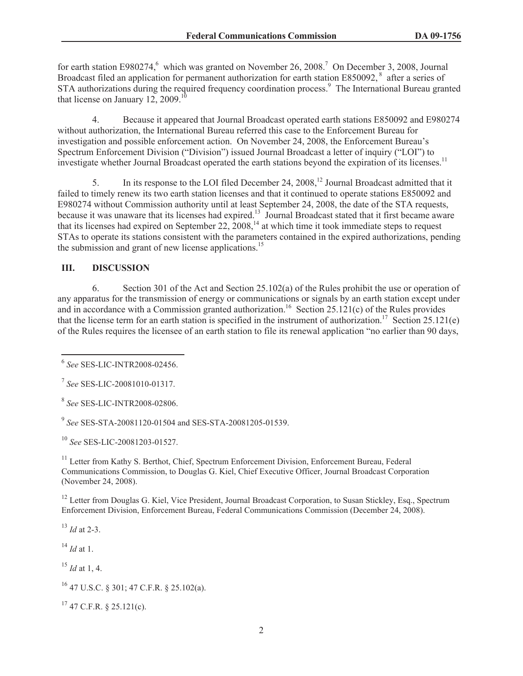for earth station E980274,<sup>6</sup> which was granted on November 26, 2008.<sup>7</sup> On December 3, 2008, Journal Broadcast filed an application for permanent authorization for earth station E850092,<sup>8</sup> after a series of STA authorizations during the required frequency coordination process.<sup>9</sup> The International Bureau granted that license on January 12, 2009.<sup>10</sup>

4. Because it appeared that Journal Broadcast operated earth stations E850092 and E980274 without authorization, the International Bureau referred this case to the Enforcement Bureau for investigation and possible enforcement action. On November 24, 2008, the Enforcement Bureau's Spectrum Enforcement Division ("Division") issued Journal Broadcast a letter of inquiry ("LOI") to investigate whether Journal Broadcast operated the earth stations beyond the expiration of its licenses.<sup>11</sup>

5. In its response to the LOI filed December 24, 2008,<sup>12</sup> Journal Broadcast admitted that it failed to timely renew its two earth station licenses and that it continued to operate stations E850092 and E980274 without Commission authority until at least September 24, 2008, the date of the STA requests, because it was unaware that its licenses had expired.<sup>13</sup> Journal Broadcast stated that it first became aware that its licenses had expired on September 22,  $2008$ ,<sup>14</sup> at which time it took immediate steps to request STAs to operate its stations consistent with the parameters contained in the expired authorizations, pending the submission and grant of new license applications.<sup>15</sup>

# **III. DISCUSSION**

6. Section 301 of the Act and Section 25.102(a) of the Rules prohibit the use or operation of any apparatus for the transmission of energy or communications or signals by an earth station except under and in accordance with a Commission granted authorization.<sup>16</sup> Section 25.121(c) of the Rules provides that the license term for an earth station is specified in the instrument of authorization.<sup>17</sup> Section 25.121(e) of the Rules requires the licensee of an earth station to file its renewal application "no earlier than 90 days,

9 *See* SES-STA-20081120-01504 and SES-STA-20081205-01539.

<sup>10</sup> *See* SES-LIC-20081203-01527.

<sup>11</sup> Letter from Kathy S. Berthot, Chief, Spectrum Enforcement Division, Enforcement Bureau, Federal Communications Commission, to Douglas G. Kiel, Chief Executive Officer, Journal Broadcast Corporation (November 24, 2008).

<sup>12</sup> Letter from Douglas G. Kiel, Vice President, Journal Broadcast Corporation, to Susan Stickley, Esq., Spectrum Enforcement Division, Enforcement Bureau, Federal Communications Commission (December 24, 2008).

<sup>13</sup> *Id* at 2-3.

 $^{14}$  *Id* at 1.

<sup>15</sup> *Id* at 1, 4.

 $17$  47 C.F.R. § 25.121(c).

<sup>6</sup> *See* SES-LIC-INTR2008-02456.

<sup>7</sup> *See* SES-LIC-20081010-01317.

<sup>8</sup> *See* SES-LIC-INTR2008-02806.

 $^{16}$  47 U.S.C. § 301; 47 C.F.R. § 25.102(a).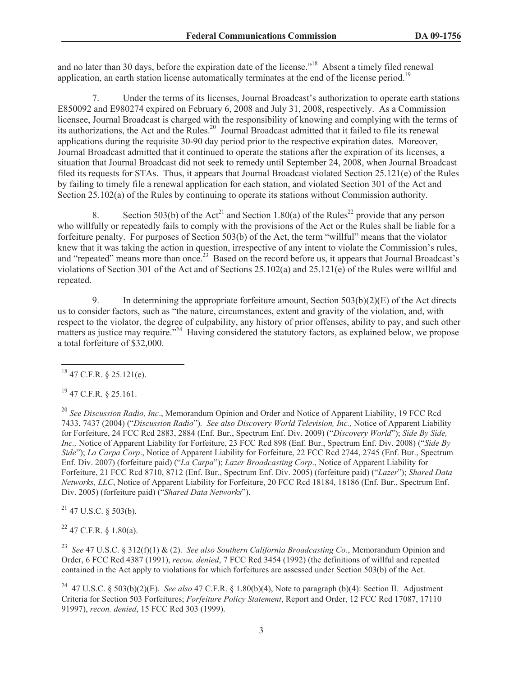and no later than 30 days, before the expiration date of the license."<sup>18</sup> Absent a timely filed renewal application, an earth station license automatically terminates at the end of the license period.<sup>19</sup>

7. Under the terms of its licenses, Journal Broadcast's authorization to operate earth stations E850092 and E980274 expired on February 6, 2008 and July 31, 2008, respectively. As a Commission licensee, Journal Broadcast is charged with the responsibility of knowing and complying with the terms of its authorizations, the Act and the Rules.<sup>20</sup> Journal Broadcast admitted that it failed to file its renewal applications during the requisite 30-90 day period prior to the respective expiration dates. Moreover, Journal Broadcast admitted that it continued to operate the stations after the expiration of its licenses, a situation that Journal Broadcast did not seek to remedy until September 24, 2008, when Journal Broadcast filed its requests for STAs. Thus, it appears that Journal Broadcast violated Section 25.121(e) of the Rules by failing to timely file a renewal application for each station, and violated Section 301 of the Act and Section 25.102(a) of the Rules by continuing to operate its stations without Commission authority.

8. Section 503(b) of the Act<sup>21</sup> and Section 1.80(a) of the Rules<sup>22</sup> provide that any person who willfully or repeatedly fails to comply with the provisions of the Act or the Rules shall be liable for a forfeiture penalty. For purposes of Section 503(b) of the Act, the term "willful" means that the violator knew that it was taking the action in question, irrespective of any intent to violate the Commission's rules, and "repeated" means more than once.<sup>23</sup> Based on the record before us, it appears that Journal Broadcast's violations of Section 301 of the Act and of Sections 25.102(a) and 25.121(e) of the Rules were willful and repeated.

9. In determining the appropriate forfeiture amount, Section 503(b)(2)(E) of the Act directs us to consider factors, such as "the nature, circumstances, extent and gravity of the violation, and, with respect to the violator, the degree of culpability, any history of prior offenses, ability to pay, and such other matters as justice may require."<sup>24</sup> Having considered the statutory factors, as explained below, we propose a total forfeiture of \$32,000.

<sup>19</sup> 47 C.F.R. § 25.161.

<sup>20</sup> *See Discussion Radio, Inc*., Memorandum Opinion and Order and Notice of Apparent Liability, 19 FCC Rcd 7433, 7437 (2004) ("*Discussion Radio*")*. See also Discovery World Television, Inc.,* Notice of Apparent Liability for Forfeiture, 24 FCC Rcd 2883, 2884 (Enf. Bur., Spectrum Enf. Div. 2009) ("*Discovery World*"); *Side By Side, Inc.,* Notice of Apparent Liability for Forfeiture, 23 FCC Rcd 898 (Enf. Bur., Spectrum Enf. Div. 2008) ("*Side By Side*"); *La Carpa Corp*., Notice of Apparent Liability for Forfeiture, 22 FCC Rcd 2744, 2745 (Enf. Bur., Spectrum Enf. Div. 2007) (forfeiture paid) ("*La Carpa*"); *Lazer Broadcasting Corp*., Notice of Apparent Liability for Forfeiture, 21 FCC Rcd 8710, 8712 (Enf. Bur., Spectrum Enf. Div. 2005) (forfeiture paid) ("*Lazer*"); *Shared Data Networks, LLC*, Notice of Apparent Liability for Forfeiture, 20 FCC Rcd 18184, 18186 (Enf. Bur., Spectrum Enf. Div. 2005) (forfeiture paid) ("*Shared Data Networks*").

 $21$  47 U.S.C. § 503(b).

 $22$  47 C.F.R. § 1.80(a).

<sup>23</sup> *See* 47 U.S.C. § 312(f)(1) & (2). *See also Southern California Broadcasting Co*., Memorandum Opinion and Order, 6 FCC Rcd 4387 (1991), *recon. denied*, 7 FCC Rcd 3454 (1992) (the definitions of willful and repeated contained in the Act apply to violations for which forfeitures are assessed under Section 503(b) of the Act.

<sup>24</sup> 47 U.S.C. § 503(b)(2)(E). *See also* 47 C.F.R. § 1.80(b)(4), Note to paragraph (b)(4): Section II. Adjustment Criteria for Section 503 Forfeitures; *Forfeiture Policy Statement*, Report and Order, 12 FCC Rcd 17087, 17110 91997), *recon. denied*, 15 FCC Rcd 303 (1999).

 $18$  47 C.F.R. § 25.121(e).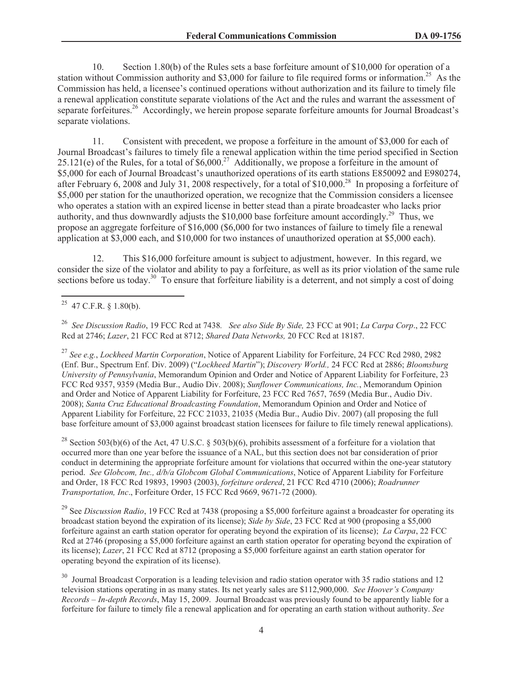10. Section 1.80(b) of the Rules sets a base forfeiture amount of \$10,000 for operation of a station without Commission authority and \$3,000 for failure to file required forms or information.<sup>25</sup> As the Commission has held, a licensee's continued operations without authorization and its failure to timely file a renewal application constitute separate violations of the Act and the rules and warrant the assessment of separate forfeitures.<sup>26</sup> Accordingly, we herein propose separate forfeiture amounts for Journal Broadcast's separate violations.

11. Consistent with precedent, we propose a forfeiture in the amount of \$3,000 for each of Journal Broadcast's failures to timely file a renewal application within the time period specified in Section  $25.121(e)$  of the Rules, for a total of \$6,000.<sup>27</sup> Additionally, we propose a forfeiture in the amount of \$5,000 for each of Journal Broadcast's unauthorized operations of its earth stations E850092 and E980274, after February 6, 2008 and July 31, 2008 respectively, for a total of  $$10,000.<sup>28</sup>$  In proposing a forfeiture of \$5,000 per station for the unauthorized operation, we recognize that the Commission considers a licensee who operates a station with an expired license in better stead than a pirate broadcaster who lacks prior authority, and thus downwardly adjusts the \$10,000 base forfeiture amount accordingly.<sup>29</sup> Thus, we propose an aggregate forfeiture of \$16,000 (\$6,000 for two instances of failure to timely file a renewal application at \$3,000 each, and \$10,000 for two instances of unauthorized operation at \$5,000 each).

12. This \$16,000 forfeiture amount is subject to adjustment, however. In this regard, we consider the size of the violator and ability to pay a forfeiture, as well as its prior violation of the same rule sections before us today.<sup>30</sup> To ensure that forfeiture liability is a deterrent, and not simply a cost of doing

<sup>26</sup> *See Discussion Radio*, 19 FCC Rcd at 7438*. See also Side By Side,* 23 FCC at 901; *La Carpa Corp*., 22 FCC Rcd at 2746; *Lazer*, 21 FCC Rcd at 8712; *Shared Data Networks,* 20 FCC Rcd at 18187.

<sup>27</sup> *See e.g.*, *Lockheed Martin Corporation*, Notice of Apparent Liability for Forfeiture, 24 FCC Rcd 2980, 2982 (Enf. Bur., Spectrum Enf. Div. 2009) ("*Lockheed Martin*"); *Discovery World.,* 24 FCC Rcd at 2886; *Bloomsburg University of Pennsylvania*, Memorandum Opinion and Order and Notice of Apparent Liability for Forfeiture, 23 FCC Rcd 9357, 9359 (Media Bur., Audio Div. 2008); *Sunflower Communications, Inc.*, Memorandum Opinion and Order and Notice of Apparent Liability for Forfeiture, 23 FCC Rcd 7657, 7659 (Media Bur., Audio Div. 2008); *Santa Cruz Educational Broadcasting Foundation*, Memorandum Opinion and Order and Notice of Apparent Liability for Forfeiture, 22 FCC 21033, 21035 (Media Bur., Audio Div. 2007) (all proposing the full base forfeiture amount of \$3,000 against broadcast station licensees for failure to file timely renewal applications).

<sup>28</sup> Section 503(b)(6) of the Act, 47 U.S.C. § 503(b)(6), prohibits assessment of a forfeiture for a violation that occurred more than one year before the issuance of a NAL, but this section does not bar consideration of prior conduct in determining the appropriate forfeiture amount for violations that occurred within the one-year statutory period. *See Globcom, Inc., d/b/a Globcom Global Communications*, Notice of Apparent Liability for Forfeiture and Order, 18 FCC Rcd 19893, 19903 (2003), *forfeiture ordered*, 21 FCC Rcd 4710 (2006); *Roadrunner Transportation, Inc*., Forfeiture Order, 15 FCC Rcd 9669, 9671-72 (2000).

<sup>29</sup> See *Discussion Radio*, 19 FCC Rcd at 7438 (proposing a \$5,000 forfeiture against a broadcaster for operating its broadcast station beyond the expiration of its license); *Side by Side*, 23 FCC Rcd at 900 (proposing a \$5,000 forfeiture against an earth station operator for operating beyond the expiration of its license); *La Carpa*, 22 FCC Rcd at 2746 (proposing a \$5,000 forfeiture against an earth station operator for operating beyond the expiration of its license); *Lazer*, 21 FCC Rcd at 8712 (proposing a \$5,000 forfeiture against an earth station operator for operating beyond the expiration of its license).

<sup>30</sup> Journal Broadcast Corporation is a leading television and radio station operator with 35 radio stations and 12 television stations operating in as many states. Its net yearly sales are \$112,900,000. *See Hoover's Company Records – In-depth Records*, May 15, 2009. Journal Broadcast was previously found to be apparently liable for a forfeiture for failure to timely file a renewal application and for operating an earth station without authority. *See* 

<sup>&</sup>lt;sup>25</sup> 47 C.F.R. § 1.80(b).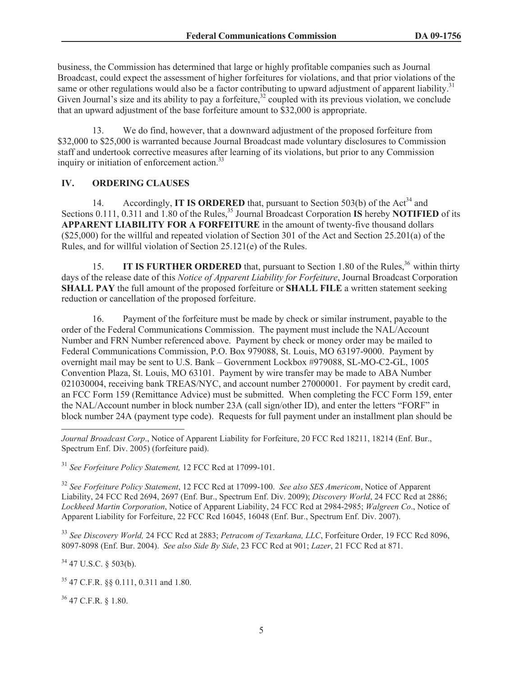business, the Commission has determined that large or highly profitable companies such as Journal Broadcast, could expect the assessment of higher forfeitures for violations, and that prior violations of the same or other regulations would also be a factor contributing to upward adjustment of apparent liability.<sup>31</sup> Given Journal's size and its ability to pay a forfeiture,  $32$  coupled with its previous violation, we conclude that an upward adjustment of the base forfeiture amount to \$32,000 is appropriate.

13. We do find, however, that a downward adjustment of the proposed forfeiture from \$32,000 to \$25,000 is warranted because Journal Broadcast made voluntary disclosures to Commission staff and undertook corrective measures after learning of its violations, but prior to any Commission inquiry or initiation of enforcement action.<sup>33</sup>

## **IV. ORDERING CLAUSES**

14. Accordingly, **IT IS ORDERED** that, pursuant to Section 503(b) of the Act<sup>34</sup> and Sections 0.111, 0.311 and 1.80 of the Rules,<sup>35</sup> Journal Broadcast Corporation **IS** hereby **NOTIFIED** of its **APPARENT LIABILITY FOR A FORFEITURE** in the amount of twenty-five thousand dollars (\$25,000) for the willful and repeated violation of Section 301 of the Act and Section 25.201(a) of the Rules, and for willful violation of Section 25.121(e) of the Rules.

15. **IT IS FURTHER ORDERED** that, pursuant to Section 1.80 of the Rules,<sup>36</sup> within thirty days of the release date of this *Notice of Apparent Liability for Forfeiture*, Journal Broadcast Corporation **SHALL PAY** the full amount of the proposed forfeiture or **SHALL FILE** a written statement seeking reduction or cancellation of the proposed forfeiture.

16. Payment of the forfeiture must be made by check or similar instrument, payable to the order of the Federal Communications Commission. The payment must include the NAL/Account Number and FRN Number referenced above. Payment by check or money order may be mailed to Federal Communications Commission, P.O. Box 979088, St. Louis, MO 63197-9000. Payment by overnight mail may be sent to U.S. Bank – Government Lockbox #979088, SL-MO-C2-GL, 1005 Convention Plaza, St. Louis, MO 63101. Payment by wire transfer may be made to ABA Number 021030004, receiving bank TREAS/NYC, and account number 27000001. For payment by credit card, an FCC Form 159 (Remittance Advice) must be submitted. When completing the FCC Form 159, enter the NAL/Account number in block number 23A (call sign/other ID), and enter the letters "FORF" in block number 24A (payment type code). Requests for full payment under an installment plan should be

<sup>31</sup> *See Forfeiture Policy Statement,* 12 FCC Rcd at 17099-101.

<sup>32</sup> *See Forfeiture Policy Statement*, 12 FCC Rcd at 17099-100. *See also SES Americom*, Notice of Apparent Liability, 24 FCC Rcd 2694, 2697 (Enf. Bur., Spectrum Enf. Div. 2009); *Discovery World*, 24 FCC Rcd at 2886; *Lockheed Martin Corporation*, Notice of Apparent Liability, 24 FCC Rcd at 2984-2985; *Walgreen Co*., Notice of Apparent Liability for Forfeiture, 22 FCC Rcd 16045, 16048 (Enf. Bur., Spectrum Enf. Div. 2007).

<sup>33</sup> *See Discovery World,* 24 FCC Rcd at 2883; *Petracom of Texarkana, LLC*, Forfeiture Order, 19 FCC Rcd 8096, 8097-8098 (Enf. Bur. 2004). *See also Side By Side*, 23 FCC Rcd at 901; *Lazer*, 21 FCC Rcd at 871.

<sup>34</sup> 47 U.S.C. § 503(b).

<sup>35</sup> 47 C.F.R. §§ 0.111, 0.311 and 1.80.

<sup>36</sup> 47 C.F.R. § 1.80.

*Journal Broadcast Corp*., Notice of Apparent Liability for Forfeiture, 20 FCC Rcd 18211, 18214 (Enf. Bur., Spectrum Enf. Div. 2005) (forfeiture paid).